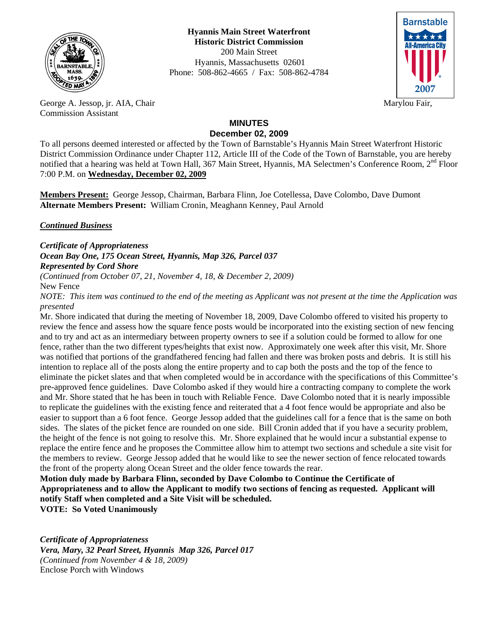

**Hyannis Main Street Waterfront Historic District Commission**  200 Main Street Hyannis, Massachusetts 02601 Phone: 508-862-4665 / Fax: 508-862-4784



George A. Jessop, jr. AIA, Chair Marylou Fair, Marylou Fair, Commission Assistant

## **MINUTES December 02, 2009**

To all persons deemed interested or affected by the Town of Barnstable's Hyannis Main Street Waterfront Historic District Commission Ordinance under Chapter 112, Article III of the Code of the Town of Barnstable, you are hereby notified that a hearing was held at Town Hall, 367 Main Street, Hyannis, MA Selectmen's Conference Room,  $2<sup>nd</sup>$  Floor 7:00 P.M. on **Wednesday, December 02, 2009**

**Members Present:** George Jessop, Chairman, Barbara Flinn, Joe Cotellessa, Dave Colombo, Dave Dumont **Alternate Members Present:** William Cronin, Meaghann Kenney, Paul Arnold

*Continued Business*

*Certificate of Appropriateness Ocean Bay One, 175 Ocean Street, Hyannis, Map 326, Parcel 037 Represented by Cord Shore* 

*(Continued from October 07, 21, November 4, 18, & December 2, 2009)*  New Fence

*NOTE: This item was continued to the end of the meeting as Applicant was not present at the time the Application was presented* 

Mr. Shore indicated that during the meeting of November 18, 2009, Dave Colombo offered to visited his property to review the fence and assess how the square fence posts would be incorporated into the existing section of new fencing and to try and act as an intermediary between property owners to see if a solution could be formed to allow for one fence, rather than the two different types/heights that exist now. Approximately one week after this visit, Mr. Shore was notified that portions of the grandfathered fencing had fallen and there was broken posts and debris. It is still his intention to replace all of the posts along the entire property and to cap both the posts and the top of the fence to eliminate the picket slates and that when completed would be in accordance with the specifications of this Committee's pre-approved fence guidelines. Dave Colombo asked if they would hire a contracting company to complete the work and Mr. Shore stated that he has been in touch with Reliable Fence. Dave Colombo noted that it is nearly impossible to replicate the guidelines with the existing fence and reiterated that a 4 foot fence would be appropriate and also be easier to support than a 6 foot fence. George Jessop added that the guidelines call for a fence that is the same on both sides. The slates of the picket fence are rounded on one side. Bill Cronin added that if you have a security problem, the height of the fence is not going to resolve this. Mr. Shore explained that he would incur a substantial expense to replace the entire fence and he proposes the Committee allow him to attempt two sections and schedule a site visit for the members to review. George Jessop added that he would like to see the newer section of fence relocated towards the front of the property along Ocean Street and the older fence towards the rear.

**Motion duly made by Barbara Flinn, seconded by Dave Colombo to Continue the Certificate of Appropriateness and to allow the Applicant to modify two sections of fencing as requested. Applicant will notify Staff when completed and a Site Visit will be scheduled. VOTE: So Voted Unanimously** 

*Certificate of Appropriateness Vera, Mary, 32 Pearl Street, Hyannis Map 326, Parcel 017 (Continued from November 4 & 18, 2009)*  Enclose Porch with Windows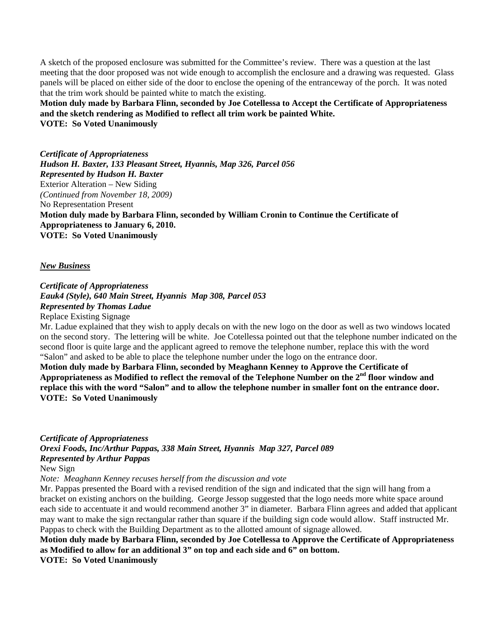A sketch of the proposed enclosure was submitted for the Committee's review. There was a question at the last meeting that the door proposed was not wide enough to accomplish the enclosure and a drawing was requested. Glass panels will be placed on either side of the door to enclose the opening of the entranceway of the porch. It was noted that the trim work should be painted white to match the existing.

**Motion duly made by Barbara Flinn, seconded by Joe Cotellessa to Accept the Certificate of Appropriateness and the sketch rendering as Modified to reflect all trim work be painted White. VOTE: So Voted Unanimously** 

*Certificate of Appropriateness Hudson H. Baxter, 133 Pleasant Street, Hyannis, Map 326, Parcel 056 Represented by Hudson H. Baxter*  Exterior Alteration – New Siding *(Continued from November 18, 2009)*  No Representation Present **Motion duly made by Barbara Flinn, seconded by William Cronin to Continue the Certificate of Appropriateness to January 6, 2010. VOTE: So Voted Unanimously** 

## *New Business*

*Certificate of Appropriateness Eauk4 (Style), 640 Main Street, Hyannis Map 308, Parcel 053 Represented by Thomas Ladue* 

Replace Existing Signage

Mr. Ladue explained that they wish to apply decals on with the new logo on the door as well as two windows located on the second story. The lettering will be white. Joe Cotellessa pointed out that the telephone number indicated on the second floor is quite large and the applicant agreed to remove the telephone number, replace this with the word "Salon" and asked to be able to place the telephone number under the logo on the entrance door.

**Motion duly made by Barbara Flinn, seconded by Meaghann Kenney to Approve the Certificate of**  Appropriateness as Modified to reflect the removal of the Telephone Number on the 2<sup>nd</sup> floor window and **replace this with the word "Salon" and to allow the telephone number in smaller font on the entrance door. VOTE: So Voted Unanimously** 

*Certificate of Appropriateness Orexi Foods, Inc/Arthur Pappas, 338 Main Street, Hyannis Map 327, Parcel 089 Represented by Arthur Pappas*  New Sign

*Note: Meaghann Kenney recuses herself from the discussion and vote* 

Mr. Pappas presented the Board with a revised rendition of the sign and indicated that the sign will hang from a bracket on existing anchors on the building. George Jessop suggested that the logo needs more white space around each side to accentuate it and would recommend another 3" in diameter. Barbara Flinn agrees and added that applicant may want to make the sign rectangular rather than square if the building sign code would allow. Staff instructed Mr. Pappas to check with the Building Department as to the allotted amount of signage allowed.

**Motion duly made by Barbara Flinn, seconded by Joe Cotellessa to Approve the Certificate of Appropriateness as Modified to allow for an additional 3" on top and each side and 6" on bottom.** 

**VOTE: So Voted Unanimously**